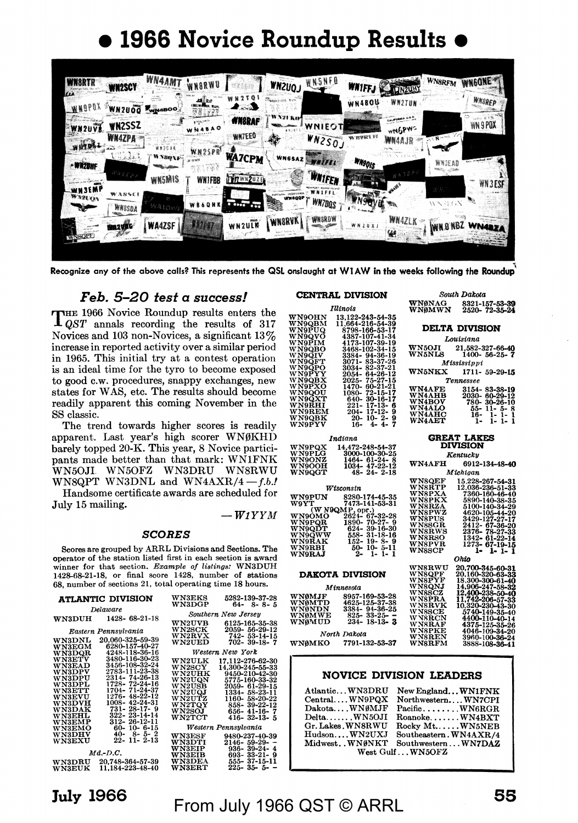# • **1966 Novice Roundup Results** •

|                        | <b>WN2SCY</b>                       | <b>WN4AMT</b>    | WNORWU                                    |                                   | <b>WNZUQJ</b>  | WNSNFO                  | <b>WAIFFJ</b> | <b>LUNZURY</b>                                            | WN8RFM     | <b>WINGONE</b>       |
|------------------------|-------------------------------------|------------------|-------------------------------------------|-----------------------------------|----------------|-------------------------|---------------|-----------------------------------------------------------|------------|----------------------|
| <b>WHOPOX</b>          | WN2U00                              | <b>KWNABOO</b>   | حجزهم<br><b>SHEARTHOOD MANY</b><br>98 F.Y | a a ser                           |                |                         | WN480U        | <b>WN2TUN</b>                                             |            | WNSREP               |
| WN2UVE                 | <b>WN2SSZ</b>                       |                  |                                           | <b>NNSRAF</b><br><b>WHTEEO</b>    |                | <b>NIEOT</b>            |               | <b>SALEMANA DA</b><br><b>Contract Committee</b><br>WNGPWS |            | . X<br>WN 9 POX      |
| whole.                 | $W$ <i>MAZPA</i><br>فبقياد والمرادا | **30**<br>WNaqxe | WN2SPR <sup>1</sup>                       |                                   | 22             | W N 250J<br>₩.          |               | WN4AJR                                                    | $\sqrt{N}$ |                      |
| · WN2BHF               | <b>RANGER OF</b>                    |                  |                                           | <b>WA7CPM</b><br><b>HITWAZUZE</b> | <b>WNGSAZ?</b> | waitzi<br>· Whifey      | <b>WNSOIS</b> |                                                           | WNOEAD     | With principled such |
| <b>WN3EMP</b><br>WARDN | W 285C                              | <b>WN5MIS</b>    | <b>WN1FBB</b>                             |                                   | <b>WHOOP</b>   |                         |               | $\mathscr{L}$                                             |            | WN3ESF               |
|                        | <b>WASSDA</b>                       | みなおいの            | WB6QNK                                    |                                   | <b>WHORVK,</b> | WN7DQS<br><b>WRSRDW</b> |               | WN4ZLK                                                    |            |                      |
| <b>WARGEED</b>         | <b>Suggestion</b>                   | <b>WA4ZSF</b>    |                                           | WN2ULK                            |                |                         |               | 继                                                         | WIND NBZ   | WN4BZ/               |

, Recognize any of the above calls? This represents the QSL onslaught at Wl AW in the weeks following the **Roundup** 

#### *Feb. 5-20 test* **a** *success!*

THE 1966 Novice Roundup results enters the *QST* annals recording the results of 317 Novices and 103 non-Novices, a significant  $13\%$ increase in reported activity over a similar period in 1965. This initial try at a contest operation is an ideal time for the tyro to become exposed to good c.w. procedures, snappy exchanges, new states for WAS, etc. The results should become readily apparent this coming November in the SS classic.

The trend towards higher scores is readily apparent. Last year's high scorer WNØKHD barely topped 20-K. This year, 8 Novice participants made better than that mark: WNlFNK WN50Jl WN50FZ WN3DRU WNSRWU WNSQPT WN3DNL and WN4AXR/4 $-f.b.l$ 

Handsome certificate awards are scheduled for July 15 mailing.  $-WIYYM$ 

#### *SCORES*

Scores are grouped by ARRL Di visions and Sections. The operator of the station listed first in each section is award winner for that section. *Example of listinos:* WN3DUH 1428-68-21-18, or final score 1428, number of stations 68, number of sections 21, total operating time 18 hours.

|                                | atlantic division                  | <b>WN3EKS</b><br><b>WN3DGP</b>     | 5282-139-37-28<br>$64 - 8 - 8 - 5$        |
|--------------------------------|------------------------------------|------------------------------------|-------------------------------------------|
|                                | Delaware                           |                                    | Southern New Jersey                       |
| <b>WN3DUH</b>                  | 1428-68-21-18                      | $_{\rm W N2UVB}$                   | 6125-165-35-38                            |
|                                | Eastern Pennsulvania               | WN2SCK<br>$_{\rm W N2RVX}$         | 2059-56-29-12<br>742-53-14-15             |
| <b>WN3DNL</b>                  | 20.060-325-59-39<br>6280-157-40-27 | <b>WN2UED</b>                      | 702- 39-18- 7                             |
| <b>WN3EGM</b><br><b>WN3DQR</b> | 4248-118-36-16                     |                                    | Western New York                          |
| <b>WN3ETV</b><br>WN3EAD        | 3480-116-30-23<br>3456-108-32-24   | $_{\rm W N2ULK}$<br>$_{\rm WNSCY}$ | 17.112-276-62-30                          |
| WN3DPV                         | 2783-111-23-38<br>2314-74-26-13    | <b>WN2UHK</b>                      | 14.300-245-55-33<br>9450-210-42-30        |
| <b>WN3DPU</b><br>WN3DPL        | 1728-72-24-16                      | <b>WN2UON</b><br>WN2USB            | 5775-160-33-32<br>2059- 61-29-15          |
| <b>WN3ETT</b><br><b>WN3EVU</b> | 1704- 71-24-37<br>1276-48-22-12    | WN2UQJ<br>WN2UTZ                   | 1334-58-23-11<br>1160-58-20-22            |
| <b>WN3DVH</b><br><b>WN3DAK</b> | 1008- 42-24-31<br>731-28-17-9      | <b>WN2TOY</b>                      | 858-39-22-12                              |
| WN3EHL                         | 322 - 23 - 14 - 14                 | <b>WN2SOJ</b><br><b>WN2TCT</b>     | 656-41-16-7<br>416- 32-13- 5              |
| WN3EMP<br><b>WN3EMO</b>        | 312-26-12-11<br>$60 - 10 - 6 - 15$ |                                    | Western Pennsylvania                      |
| WN3DHV<br>$_{\rm WNSEXU}$      | $40 - 8 - 5 - 2$<br>22- 11- 2-13   | $_{\rm W N3ESF}$                   | 9480-237-40-39                            |
|                                |                                    | <b>WN3DTI</b><br><b>WN3EIP</b>     | $2146 - 59 - 29 -$<br>$936 - 39 - 24 - 4$ |
| <b>WN3DRU</b>                  | $Md.-D.C.$<br>20.748-364-57-39     | <b>WN3EIB</b><br><b>WN3DEA</b>     | 693-33-21-9<br>555-37-15-11               |
| <b>WN3EUK</b>                  | 11.184-223-48-40                   | $_{\rm WNSERT}$                    | 225-35-5--                                |

#### **CENTRAL DIVISION**

| 13.122-243-54-35    |
|---------------------|
| 11.664-216-54-39    |
| 8798-166-53-17      |
| 4387-107-41-34      |
| 4173-107-39-19      |
| 3468-102-34-15      |
| 3384-94-36-19       |
| 3071-83-37-26       |
| 3034-82-37-21       |
| 2054-64-26-12       |
| 2025-75-27-15       |
| 1470-60-21-21       |
| 1080-72-15-17       |
| 640-30-16-17        |
| $221 - 17 - 13 - 6$ |
| 204- 17-12- 9       |
| $20 - 10 - 2 - 9$   |
| $16 - 4 - 4 - 7$    |
|                     |

| Indiana       |                      |  |  |
|---------------|----------------------|--|--|
| <b>WN9POX</b> | 14,472-248-54-37     |  |  |
| WN9PLG-       | 3000-100-30-25       |  |  |
| <b>WN9ONZ</b> | $1464 - 61 - 24 - 8$ |  |  |
| <b>WN9OOH</b> | 1034-47-22-12        |  |  |
| <b>WN9QGT</b> | $48 - 24 - 2 - 18$   |  |  |

| Wisconsin                                                                                                           | WN8R1                                                                                                                 |                                                                         |
|---------------------------------------------------------------------------------------------------------------------|-----------------------------------------------------------------------------------------------------------------------|-------------------------------------------------------------------------|
| <b>WN9PUN</b><br>W9YT –                                                                                             | 8280-174-45-35<br>7473-141-53-31<br>$(W N9QMP,$ opr.)                                                                 | <b>WN8P2</b><br><b>WN8PF</b><br><b>WN8R2</b><br>WN8PV                   |
| <b>WN9OMO</b><br><b>WN9POR</b><br><b>WN9QDT</b><br><b>WN9QWW</b><br><b>WN9RAK</b><br><b>WN9RBI</b><br><b>WN9RAJ</b> | 2624- 67-32-28<br>1890-70-27-9<br>624-39-16-30<br>558-31-18-16<br>$152 - 19 - 8 - 9$<br>$50 - 10 - 5 - 11$<br>2-1-1-1 | WN8PU<br>WN8SG<br>WN8R\<br><b>WN8RS</b><br>WN8PV<br>$_{\mathrm{WNSSC}}$ |

#### **DAKOTA DIVISION**

| Minnesota                                                                                                                                          | <b>WN8ONJ</b>                                                                 |
|----------------------------------------------------------------------------------------------------------------------------------------------------|-------------------------------------------------------------------------------|
| 8957-169-53-28<br>WN0MJF<br>WN0MTD<br>4625-125-37-38<br>WN0NDN<br>3384-94-36-25<br><b>WN0MWE</b><br>825- 33-25- -<br>WN0MUD<br>$234 - 18 - 13 - 3$ | <b>WN8SCZ</b><br>WN8PRA<br>WN8RVI<br>WN8SCE<br><b>WN8RCI</b><br><b>WN8RAF</b> |
| North Dakota                                                                                                                                       | <b>WN8PKI</b><br><b>WN8REN</b>                                                |
| 7791-132-53-37<br>WN0MKO                                                                                                                           | <b>WN3RF</b> M                                                                |

| <b>GREAT LAKES</b><br><b>DIVISION</b> |                  |  |
|---------------------------------------|------------------|--|
|                                       | Kentucku         |  |
| <b>WN4AFH</b>                         | 6912-134-48-40   |  |
|                                       | Michigan         |  |
| <b>WN8OEF</b>                         | 15,228-267-54-31 |  |
| <b>WNSRTP</b>                         | 12.036-236-51-33 |  |
| <b>WN8PXA</b>                         | 7360-160-46-40   |  |
| <b>WN8PKX</b>                         | 5890-140-38-35   |  |
| WN8RZA                                | 5100-140-34-29   |  |
| <b>WN8PWZ</b>                         | 4620-105-44-20   |  |
| <b>WN8PUS</b>                         | 3429-127-27-17   |  |
| <b>WN8SGR</b>                         | 2412- 67-36-20   |  |
| <b>WN8RWS</b>                         | 2376- 78-27-33   |  |
| <b>WN8RSO</b>                         | 1342-61-22-14    |  |
| <b>WN8PVR</b>                         | 1273-67-19-15    |  |
| <b>WN8SCP</b>                         | 1-1-1-1          |  |
| Ohio                                  |                  |  |
| <b>WN8RWU</b>                         | 20,700-345-60-31 |  |
| WN8QPF                                | 20,160-320-63-33 |  |
| <b>WN8PYF</b>                         | 18,300-300-61-40 |  |
| <b>WN8ONJ</b>                         | 14,906-247-58-32 |  |
| <b>WN8SCZ</b>                         | 12,400-238-50-40 |  |
| <b>WN8PRA</b>                         | 11.742-206-57-33 |  |
| <b>WN8RVK</b>                         | 10,320-230-43-30 |  |
| <b>WNSSCE</b>                         | 5740-149-35-40   |  |
|                                       |                  |  |

*South Dakota*<br> **WNONAG** 8321-15<br>
WNOMWN 2520-7

**DELTA DIVISION**  *Louisiana*  WN50JI 21,582-327-66-40 WN5NLS 1400- 56-25- 7 *Mississippi* 

*Tennessee*  WN4AFE 3154- 83-38-19 WN4AHB 2030- 60-29-12 WN4BOV 780- 30-26-10 WN4ALO 55- 11- 5- 8 WN4AHC 16· 1- 1- 1 WN4AET l• 1- 1- **1** 

8321-157-53-39<br>2520- 72-35-24

WN5NKX 1711- 59-29-15

# 5740-149-35-40 4400-110-40-l 4 4375-125-35-26 4046-109-34-20

3960-100 3888-108-36-41

#### **NOVICE DIVISION LEADERS**

| AtlanticWN3DRU    | New England WN1FNK     |  |  |
|-------------------|------------------------|--|--|
| CentralWN9PQX     | NorthwesternWN7CPI     |  |  |
| DakotaWNØMJF      | $Pacific$ WN6RGR       |  |  |
| $Delta$ $WN5OJI$  | $Roanoke$ $WNABXT$     |  |  |
| Gr. Lakes WN8RWU  | $Rocky Mt$ $WN5NEB$    |  |  |
| $Hudson$ $WN2UXJ$ | Southeastern. WN4AXR/4 |  |  |
| MidwestWNØNKT     | SouthwesternWN7DAZ     |  |  |
| West GulfWN5OFZ   |                        |  |  |

## **July 1966**

# From July 1966 QST © ARRL

## **ss**